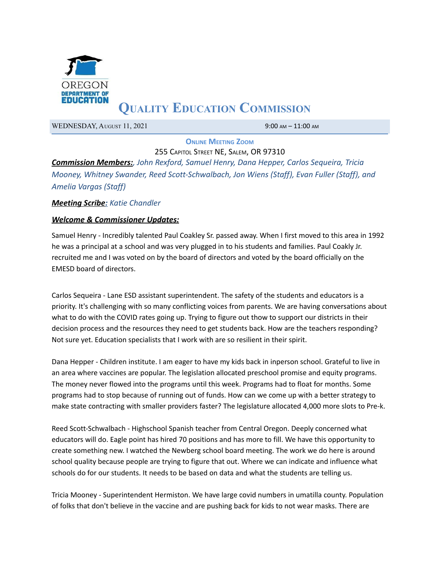

# **QUALITY EDUCATION COMMISSION**

WEDNESDAY, AUGUST 11, 2021 9:00 AM - 11:00 AM

**ONLINE MEETING ZOOM**

255 CAPITOL STREET NE, SALEM, OR 97310 *Commission Members:, John Rexford, Samuel Henry, Dana Hepper, Carlos Sequeira, Tricia Mooney, Whitney Swander, Reed Scott-Schwalbach, Jon Wiens (Staff), Evan Fuller (Staff), and Amelia Vargas (Staff)*

### *Meeting Scribe: Katie Chandler*

### *Welcome & Commissioner Updates:*

Samuel Henry - Incredibly talented Paul Coakley Sr. passed away. When I first moved to this area in 1992 he was a principal at a school and was very plugged in to his students and families. Paul Coakly Jr. recruited me and I was voted on by the board of directors and voted by the board officially on the EMESD board of directors.

Carlos Sequeira - Lane ESD assistant superintendent. The safety of the students and educators is a priority. It's challenging with so many conflicting voices from parents. We are having conversations about what to do with the COVID rates going up. Trying to figure out thow to support our districts in their decision process and the resources they need to get students back. How are the teachers responding? Not sure yet. Education specialists that I work with are so resilient in their spirit.

Dana Hepper - Children institute. I am eager to have my kids back in inperson school. Grateful to live in an area where vaccines are popular. The legislation allocated preschool promise and equity programs. The money never flowed into the programs until this week. Programs had to float for months. Some programs had to stop because of running out of funds. How can we come up with a better strategy to make state contracting with smaller providers faster? The legislature allocated 4,000 more slots to Pre-k.

Reed Scott-Schwalbach - Highschool Spanish teacher from Central Oregon. Deeply concerned what educators will do. Eagle point has hired 70 positions and has more to fill. We have this opportunity to create something new. I watched the Newberg school board meeting. The work we do here is around school quality because people are trying to figure that out. Where we can indicate and influence what schools do for our students. It needs to be based on data and what the students are telling us.

Tricia Mooney - Superintendent Hermiston. We have large covid numbers in umatilla county. Population of folks that don't believe in the vaccine and are pushing back for kids to not wear masks. There are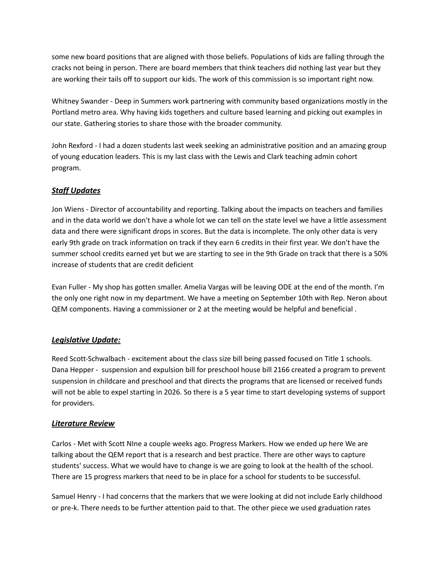some new board positions that are aligned with those beliefs. Populations of kids are falling through the cracks not being in person. There are board members that think teachers did nothing last year but they are working their tails off to support our kids. The work of this commission is so important right now.

Whitney Swander - Deep in Summers work partnering with community based organizations mostly in the Portland metro area. Why having kids togethers and culture based learning and picking out examples in our state. Gathering stories to share those with the broader community.

John Rexford - I had a dozen students last week seeking an administrative position and an amazing group of young education leaders. This is my last class with the Lewis and Clark teaching admin cohort program.

## *Staff Updates*

Jon Wiens - Director of accountability and reporting. Talking about the impacts on teachers and families and in the data world we don't have a whole lot we can tell on the state level we have a little assessment data and there were significant drops in scores. But the data is incomplete. The only other data is very early 9th grade on track information on track if they earn 6 credits in their first year. We don't have the summer school credits earned yet but we are starting to see in the 9th Grade on track that there is a 50% increase of students that are credit deficient

Evan Fuller - My shop has gotten smaller. Amelia Vargas will be leaving ODE at the end of the month. I'm the only one right now in my department. We have a meeting on September 10th with Rep. Neron about QEM components. Having a commissioner or 2 at the meeting would be helpful and beneficial .

### *Legislative Update:*

Reed Scott-Schwalbach - excitement about the class size bill being passed focused on Title 1 schools. Dana Hepper - suspension and expulsion bill for preschool house bill 2166 created a program to prevent suspension in childcare and preschool and that directs the programs that are licensed or received funds will not be able to expel starting in 2026. So there is a 5 year time to start developing systems of support for providers.

### *Literature Review*

Carlos - Met with Scott NIne a couple weeks ago. Progress Markers. How we ended up here We are talking about the QEM report that is a research and best practice. There are other ways to capture students' success. What we would have to change is we are going to look at the health of the school. There are 15 progress markers that need to be in place for a school for students to be successful.

Samuel Henry - I had concerns that the markers that we were looking at did not include Early childhood or pre-k. There needs to be further attention paid to that. The other piece we used graduation rates